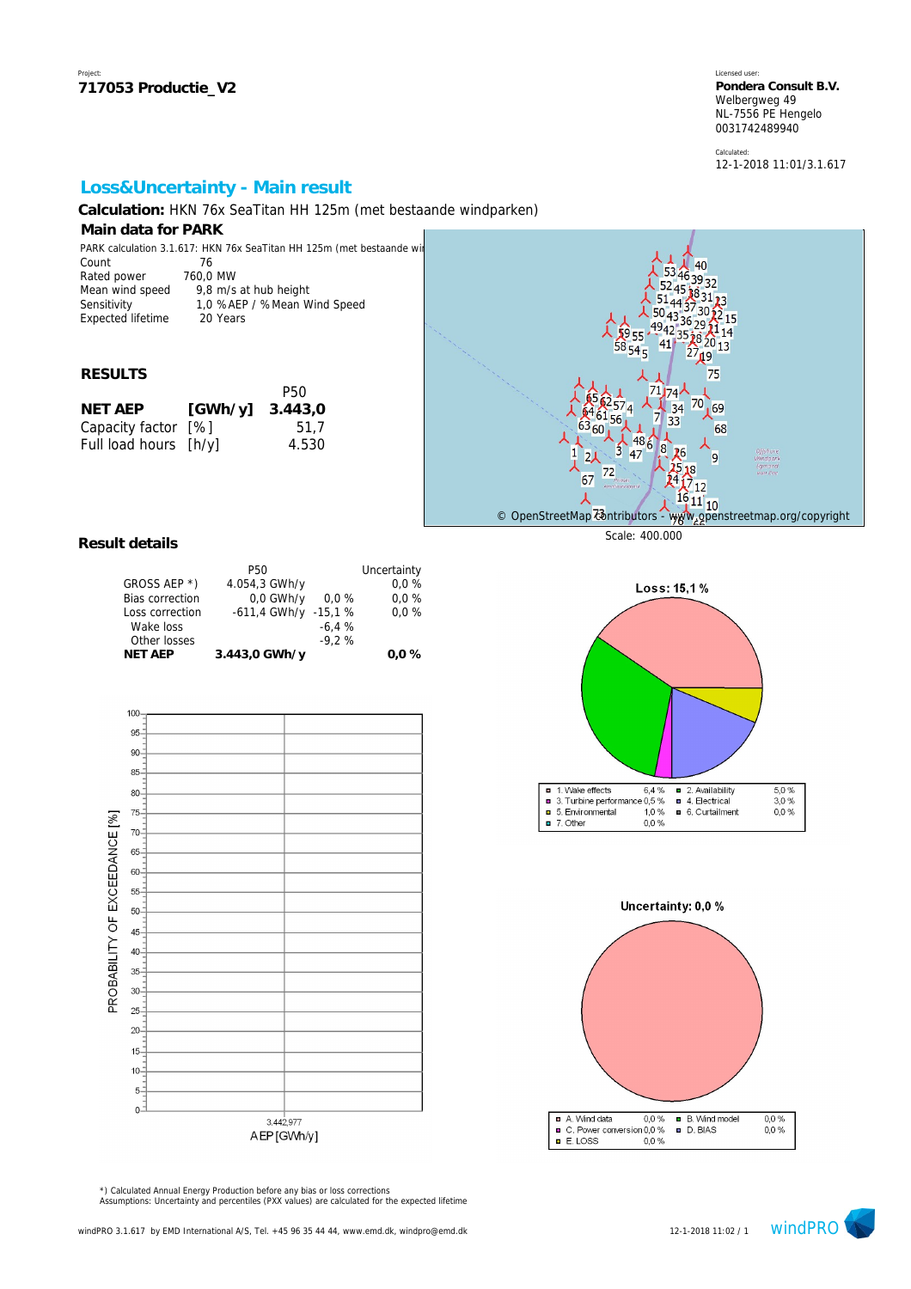Calculated: 12-1-2018 11:01/3.1.617

 $\frac{5,0\%}{3,0\%}$ 

 $0,0%$ 

# **Loss&Uncertainty - Main result**

**Calculation:** HKN 76x SeaTitan HH 125m (met bestaande windparken)

### **Main data for PARK**

| PARK calculation 3.1.617: HKN 76x SeaTitan HH 125m (met bestaande wir |          |                             |  |  |  |
|-----------------------------------------------------------------------|----------|-----------------------------|--|--|--|
| Count                                                                 | 76       |                             |  |  |  |
| Rated power                                                           | 760.0 MW |                             |  |  |  |
| Mean wind speed                                                       |          | 9,8 m/s at hub height       |  |  |  |
| Sensitivity                                                           |          | 1,0 %AEP / %Mean Wind Speed |  |  |  |
| Expected lifetime                                                     |          | 20 Years                    |  |  |  |

#### **RESULTS**

|                       | P50     |
|-----------------------|---------|
| [GWh/y]               | 3.443,0 |
| Capacity factor [%]   | 51.7    |
| Full load hours [h/y] | 4.530   |
|                       |         |



Loss: 15,1%

#### **Result details**

| <b>P50</b>    |          | Uncertainty              |
|---------------|----------|--------------------------|
| 4.054,3 GWh/y |          | 0.0%                     |
| $0.0$ GWh/y   | $0.0 \%$ | 0.0%                     |
|               |          | 0.0%                     |
|               | $-6.4%$  |                          |
|               | $-9.2%$  |                          |
| 3.443,0 GWh/y |          | $0.0 \%$                 |
|               |          | $-611.4$ GWh/y $-15.1$ % |



■ 1. Wake effects 6,4 % ■ 2. Availability<br>■ 3. Turbine performance 0,5 % ■ 4. Electrical 2. Availability 5. Environmental  $1,0%$ 6. Curtailment  $\Box$  7. Other 0.0% Uncertainty: 0,0 %



Assumptions: Uncertainty and percentiles (PXX values) are calculated for the expected lifetime \*) Calculated Annual Energy Production before any bias or loss corrections

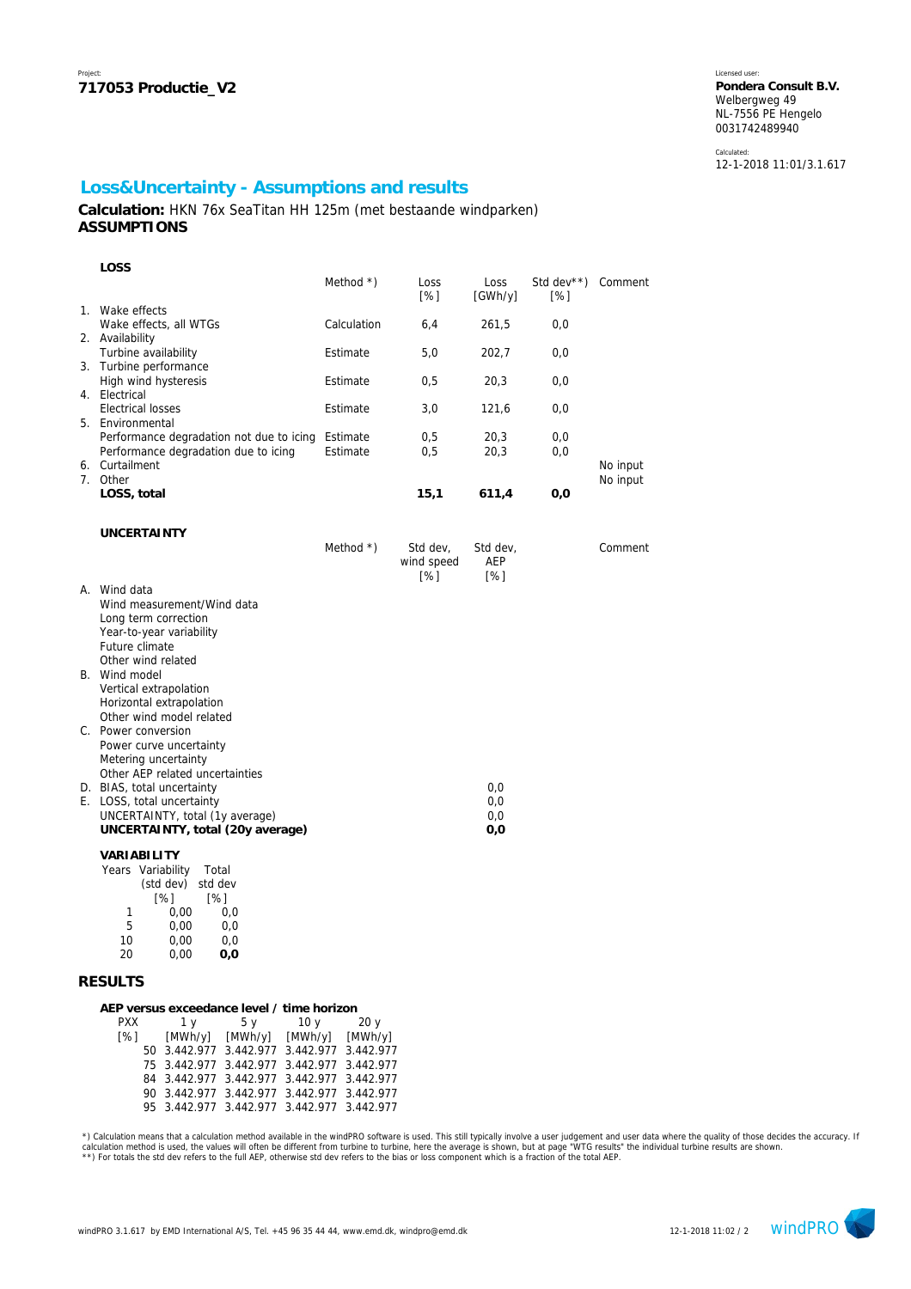Calculated: 12-1-2018 11:01/3.1.617

## **Loss&Uncertainty - Assumptions and results**

**Calculation:** HKN 76x SeaTitan HH 125m (met bestaande windparken) **ASSUMPTIONS**

| LOSS                                                                                                                                                               |                      |                               |                          |                   |                      |
|--------------------------------------------------------------------------------------------------------------------------------------------------------------------|----------------------|-------------------------------|--------------------------|-------------------|----------------------|
|                                                                                                                                                                    | Method $*$ )         | Loss<br>[%]                   | Loss<br>[GWh/y]          | Std dev**)<br>[%] | Comment              |
| 1. Wake effects<br>Wake effects, all WTGs                                                                                                                          | Calculation          | 6,4                           | 261,5                    | 0,0               |                      |
| 2. Availability<br>Turbine availability                                                                                                                            | Estimate             | 5,0                           | 202,7                    | 0,0               |                      |
| 3. Turbine performance<br>High wind hysteresis                                                                                                                     | Estimate             | 0,5                           | 20,3                     | 0,0               |                      |
| 4. Electrical<br><b>Electrical losses</b><br>5. Environmental                                                                                                      | Estimate             | 3,0                           | 121,6                    | 0,0               |                      |
| Performance degradation not due to icing<br>Performance degradation due to icing                                                                                   | Estimate<br>Estimate | 0,5<br>0,5                    | 20,3<br>20,3             | 0,0<br>0,0        |                      |
| 6. Curtailment<br>7. Other                                                                                                                                         |                      |                               |                          |                   | No input<br>No input |
| LOSS, total                                                                                                                                                        |                      | 15,1                          | 611,4                    | 0,0               |                      |
| <b>UNCERTAINTY</b>                                                                                                                                                 |                      |                               |                          |                   |                      |
|                                                                                                                                                                    | Method $*$ )         | Std dev,<br>wind speed<br>[%] | Std dev,<br>AEP<br>[%]   |                   | Comment              |
| A. Wind data<br>Wind measurement/Wind data<br>Long term correction<br>Year-to-year variability<br>Future climate<br>Other wind related                             |                      |                               |                          |                   |                      |
| B. Wind model<br>Vertical extrapolation<br>Horizontal extrapolation<br>Other wind model related                                                                    |                      |                               |                          |                   |                      |
| C. Power conversion<br>Power curve uncertainty<br>Metering uncertainty                                                                                             |                      |                               |                          |                   |                      |
| Other AEP related uncertainties<br>D. BIAS, total uncertainty<br>E. LOSS, total uncertainty<br>UNCERTAINTY, total (1y average)<br>UNCERTAINTY, total (20y average) |                      |                               | 0,0<br>0,0<br>0,0<br>0,0 |                   |                      |
| VARIABILITY<br>Years Variability<br>Total                                                                                                                          |                      |                               |                          |                   |                      |

| eal S | <b>V</b> dHability | πυιαι   |
|-------|--------------------|---------|
|       | (std dev)          | std dev |
|       | [%]                | [%]     |
| 1     | 0.00               | 0.0     |
| 5     | 0.00               | 0.0     |
| 10    | 0,00               | 0,0     |
| 20    | 0,00               | 0,0     |
|       |                    |         |

## **RESULTS**

| AEP versus exceedance level / time horizon |  |  |  |                                            |                 |  |  |  |  |
|--------------------------------------------|--|--|--|--------------------------------------------|-----------------|--|--|--|--|
| PXX<br>1 v                                 |  |  |  | 5 v 10 v                                   | 20 <sub>y</sub> |  |  |  |  |
| [%]                                        |  |  |  | [MWh/y] [MWh/y] [MWh/y] [MWh/y]            |                 |  |  |  |  |
|                                            |  |  |  | 50 3.442.977 3.442.977 3.442.977 3.442.977 |                 |  |  |  |  |
|                                            |  |  |  | 75 3.442.977 3.442.977 3.442.977 3.442.977 |                 |  |  |  |  |
|                                            |  |  |  | 84 3.442.977 3.442.977 3.442.977 3.442.977 |                 |  |  |  |  |
|                                            |  |  |  | 90 3.442.977 3.442.977 3.442.977 3.442.977 |                 |  |  |  |  |
|                                            |  |  |  | 95 3.442.977 3.442.977 3.442.977 3.442.977 |                 |  |  |  |  |
|                                            |  |  |  |                                            |                 |  |  |  |  |

\*) Calculation means that a calculation method available in the windPRO software is used. This still typically involve a user judgement and user data where the quality of those decides the accuracy. If and the wall and the

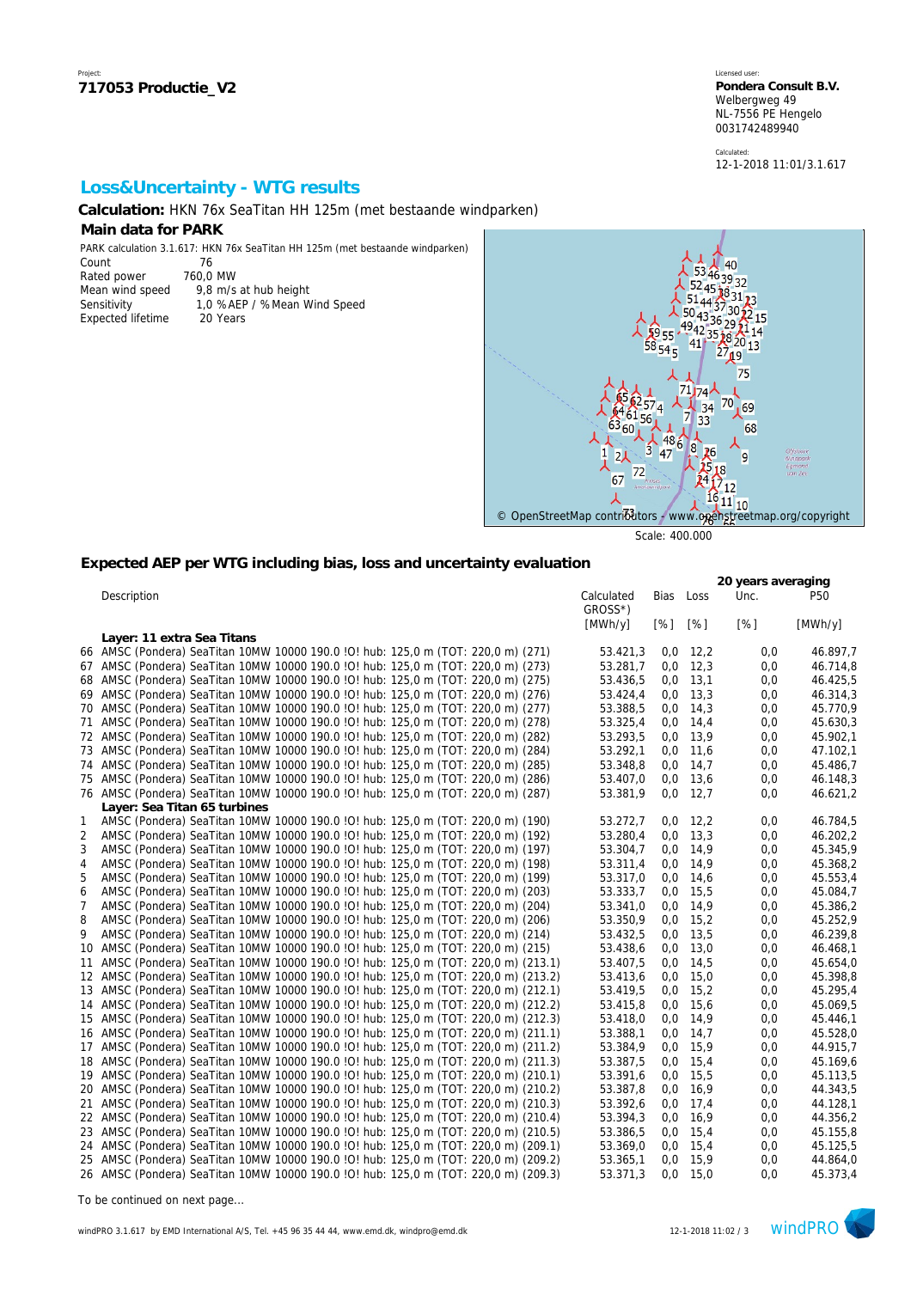Calculated: 12-1-2018 11:01/3.1.617

## **Loss&Uncertainty - WTG results**

20 Years

**Calculation:** HKN 76x SeaTitan HH 125m (met bestaande windparken)

### **Main data for PARK**

PARK calculation 3.1.617: HKN 76x SeaTitan HH 125m (met bestaande windparken)<br>Count 76  $C<sub>Q</sub>$ unt

| <b>UUUI</b>       |   |
|-------------------|---|
| Rated power       | 7 |
| Mean wind speed   |   |
| Sensitivity       |   |
| Exnected lifetime |   |

760,0 MW 9,8 m/s at hub height 1,0 %AEP / %Mean Wind Speed



Scale: 400.000

## **Expected AEP per WTG including bias, loss and uncertainty evaluation**

|                |                                                                                     |                       |      |            | 20 years averaging |                 |
|----------------|-------------------------------------------------------------------------------------|-----------------------|------|------------|--------------------|-----------------|
|                | Description                                                                         | Calculated<br>GROSS*) | Bias | Loss       | Unc.               | P <sub>50</sub> |
|                |                                                                                     | [MWh/y]               | [%]  | [%]        | [%]                | [MWh/y]         |
|                | Layer: 11 extra Sea Titans                                                          |                       |      |            |                    |                 |
|                | 66 AMSC (Pondera) SeaTitan 10MW 10000 190.0 !O! hub: 125,0 m (TOT: 220,0 m) (271)   | 53.421,3              | 0,0  | 12,2       | 0,0                | 46.897,7        |
|                | 67 AMSC (Pondera) SeaTitan 10MW 10000 190.0 !O! hub: 125,0 m (TOT: 220,0 m) (273)   | 53.281,7              |      | $0,0$ 12,3 | 0,0                | 46.714,8        |
|                | 68 AMSC (Pondera) SeaTitan 10MW 10000 190.0 !O! hub: 125,0 m (TOT: 220,0 m) (275)   | 53.436,5              |      | $0,0$ 13,1 | 0,0                | 46.425,5        |
|                | 69 AMSC (Pondera) SeaTitan 10MW 10000 190.0 !O! hub: 125,0 m (TOT: 220,0 m) (276)   | 53.424,4              |      | $0,0$ 13.3 | 0,0                | 46.314,3        |
| 70             | AMSC (Pondera) SeaTitan 10MW 10000 190.0 !O! hub: 125,0 m (TOT: 220,0 m) (277)      | 53.388,5              | 0,0  | 14,3       | 0,0                | 45.770,9        |
|                | 71 AMSC (Pondera) SeaTitan 10MW 10000 190.0 !O! hub: 125,0 m (TOT: 220,0 m) (278)   | 53.325,4              |      | $0,0$ 14,4 | 0,0                | 45.630,3        |
|                | 72 AMSC (Pondera) SeaTitan 10MW 10000 190.0 !O! hub: 125,0 m (TOT: 220,0 m) (282)   | 53.293,5              | 0,0  | 13,9       | 0,0                | 45.902,1        |
|                | 73 AMSC (Pondera) SeaTitan 10MW 10000 190.0 !O! hub: 125,0 m (TOT: 220,0 m) (284)   | 53.292,1              |      | $0,0$ 11,6 | 0,0                | 47.102,1        |
|                | 74 AMSC (Pondera) SeaTitan 10MW 10000 190.0 !O! hub: 125,0 m (TOT: 220,0 m) (285)   | 53.348,8              |      | $0,0$ 14,7 | 0,0                | 45.486,7        |
|                | 75 AMSC (Pondera) SeaTitan 10MW 10000 190.0 !O! hub: 125,0 m (TOT: 220,0 m) (286)   | 53.407,0              |      | $0,0$ 13,6 | 0,0                | 46.148,3        |
|                | 76 AMSC (Pondera) SeaTitan 10MW 10000 190.0 !O! hub: 125,0 m (TOT: 220,0 m) (287)   | 53.381,9              |      | $0,0$ 12,7 | 0,0                | 46.621,2        |
|                | Layer: Sea Titan 65 turbines                                                        |                       |      |            |                    |                 |
| $\mathbf{1}$   | AMSC (Pondera) SeaTitan 10MW 10000 190.0 !O! hub: 125,0 m (TOT: 220,0 m) (190)      | 53.272,7              | 0,0  | 12,2       | 0,0                | 46.784,5        |
| 2              | AMSC (Pondera) SeaTitan 10MW 10000 190.0 !O! hub: 125,0 m (TOT: 220,0 m) (192)      | 53.280,4              | 0,0  | 13,3       | 0,0                | 46.202,2        |
| 3              | AMSC (Pondera) SeaTitan 10MW 10000 190.0 !O! hub: 125,0 m (TOT: 220,0 m) (197)      | 53.304,7              |      | $0,0$ 14,9 | 0,0                | 45.345,9        |
| $\overline{4}$ | AMSC (Pondera) SeaTitan 10MW 10000 190.0 ! O! hub: 125,0 m (TOT: 220,0 m) (198)     | 53.311,4              | 0,0  | 14,9       | 0,0                | 45.368,2        |
| 5              | AMSC (Pondera) SeaTitan 10MW 10000 190.0 !O! hub: 125,0 m (TOT: 220,0 m) (199)      | 53.317,0              |      | $0,0$ 14,6 | 0,0                | 45.553,4        |
| 6              | AMSC (Pondera) SeaTitan 10MW 10000 190.0 !O! hub: 125,0 m (TOT: 220,0 m) (203)      | 53.333,7              |      | $0,0$ 15,5 | 0,0                | 45.084,7        |
| 7              | AMSC (Pondera) SeaTitan 10MW 10000 190.0 !O! hub: 125,0 m (TOT: 220,0 m) (204)      | 53.341,0              |      | $0,0$ 14,9 | 0,0                | 45.386,2        |
| 8              | AMSC (Pondera) SeaTitan 10MW 10000 190.0 !O! hub: 125,0 m (TOT: 220,0 m) (206)      | 53.350,9              | 0,0  | 15,2       | 0,0                | 45.252,9        |
| 9              | AMSC (Pondera) SeaTitan 10MW 10000 190.0 ! O! hub: 125,0 m (TOT: 220,0 m) (214)     | 53.432,5              | 0,0  | 13,5       | 0,0                | 46.239,8        |
| 10             | AMSC (Pondera) SeaTitan 10MW 10000 190.0 !O! hub: 125,0 m (TOT: 220,0 m) (215)      | 53.438,6              | 0,0  | 13,0       | 0,0                | 46.468,1        |
| 11             | AMSC (Pondera) SeaTitan 10MW 10000 190.0 !O! hub: 125,0 m (TOT: 220,0 m) (213.1)    | 53.407,5              |      | $0,0$ 14,5 | 0,0                | 45.654,0        |
|                | 12 AMSC (Pondera) SeaTitan 10MW 10000 190.0 !O! hub: 125,0 m (TOT: 220,0 m) (213.2) | 53.413,6              | 0,0  | 15,0       | 0,0                | 45.398,8        |
|                | 13 AMSC (Pondera) SeaTitan 10MW 10000 190.0 IO! hub: 125,0 m (TOT: 220,0 m) (212.1) | 53.419,5              | 0,0  | 15,2       | 0,0                | 45.295,4        |
|                | 14 AMSC (Pondera) SeaTitan 10MW 10000 190.0 !O! hub: 125,0 m (TOT: 220,0 m) (212.2) | 53.415,8              |      | $0,0$ 15,6 | 0,0                | 45.069,5        |
|                | 15 AMSC (Pondera) SeaTitan 10MW 10000 190.0 IO! hub: 125,0 m (TOT: 220,0 m) (212.3) | 53.418,0              | 0,0  | 14,9       | 0,0                | 45.446,1        |
|                | 16 AMSC (Pondera) SeaTitan 10MW 10000 190.0 IO! hub: 125,0 m (TOT: 220,0 m) (211.1) | 53.388,1              | 0,0  | 14,7       | 0,0                | 45.528.0        |
|                | 17 AMSC (Pondera) SeaTitan 10MW 10000 190.0 IO! hub: 125,0 m (TOT: 220,0 m) (211.2) | 53.384,9              | 0,0  | 15,9       | 0,0                | 44.915,7        |
|                | 18 AMSC (Pondera) SeaTitan 10MW 10000 190.0 IO! hub: 125,0 m (TOT: 220,0 m) (211.3) | 53.387,5              |      | $0,0$ 15,4 | 0,0                | 45.169,6        |
|                | 19 AMSC (Pondera) SeaTitan 10MW 10000 190.0 IO! hub: 125,0 m (TOT: 220,0 m) (210.1) | 53.391,6              | 0,0  | 15,5       | 0,0                | 45.113,5        |
|                | 20 AMSC (Pondera) SeaTitan 10MW 10000 190.0 IO! hub: 125,0 m (TOT: 220,0 m) (210.2) | 53.387,8              | 0,0  | 16,9       | 0,0                | 44.343,5        |
|                | 21 AMSC (Pondera) SeaTitan 10MW 10000 190.0 !O! hub: 125,0 m (TOT: 220,0 m) (210.3) | 53.392,6              | 0,0  | 17,4       | 0,0                | 44.128,1        |
|                | 22 AMSC (Pondera) SeaTitan 10MW 10000 190.0 !O! hub: 125,0 m (TOT: 220,0 m) (210.4) | 53.394,3              |      | $0,0$ 16,9 | 0,0                | 44.356,2        |
|                | 23 AMSC (Pondera) SeaTitan 10MW 10000 190.0 !O! hub: 125,0 m (TOT: 220,0 m) (210.5) | 53.386,5              | 0,0  | 15,4       | 0,0                | 45.155,8        |
|                | 24 AMSC (Pondera) SeaTitan 10MW 10000 190.0 IO! hub: 125,0 m (TOT: 220,0 m) (209.1) | 53.369,0              | 0,0  | 15,4       | 0,0                | 45.125,5        |
|                | 25 AMSC (Pondera) SeaTitan 10MW 10000 190.0 IO! hub: 125,0 m (TOT: 220,0 m) (209.2) | 53.365,1              | 0,0  | 15.9       | 0,0                | 44.864,0        |
|                | 26 AMSC (Pondera) SeaTitan 10MW 10000 190.0 IO! hub: 125,0 m (TOT: 220,0 m) (209.3) | 53.371,3              | 0,0  | 15.0       | 0,0                | 45.373,4        |

*To be continued on next page...*